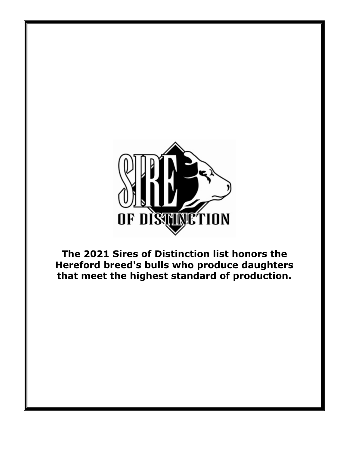

**The 2021 Sires of Distinction list honors the Hereford breed's bulls who produce daughters that meet the highest standard of production.**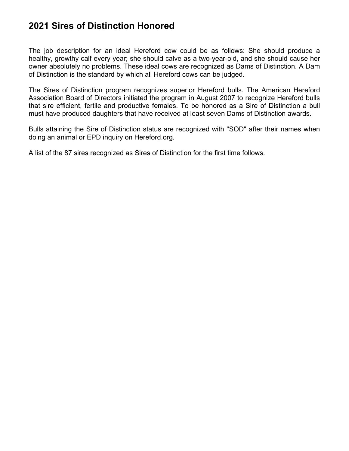## **2021 Sires of Distinction Honored**

The job description for an ideal Hereford cow could be as follows: She should produce a healthy, growthy calf every year; she should calve as a two-year-old, and she should cause her owner absolutely no problems. These ideal cows are recognized as Dams of Distinction. A Dam of Distinction is the standard by which all Hereford cows can be judged.

The Sires of Distinction program recognizes superior Hereford bulls. The American Hereford Association Board of Directors initiated the program in August 2007 to recognize Hereford bulls that sire efficient, fertile and productive females. To be honored as a Sire of Distinction a bull must have produced daughters that have received at least seven Dams of Distinction awards.

Bulls attaining the Sire of Distinction status are recognized with "SOD" after their names when doing an animal or EPD inquiry on Hereford.org.

A list of the 87 sires recognized as Sires of Distinction for the first time follows.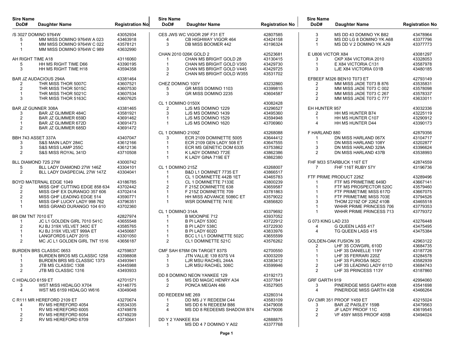| /S 3027 DOMINO 9764W<br>43052934<br>CES JWS WC VIGOR 29F F31 ET<br>42807585<br>3<br>MS DD 43 DOMINO YK B82<br>43478964<br>MM MISS DOMINO 9764W A 023<br>43463918<br>43424158<br>$\overline{2}$<br>43377796<br>CB HIGHWAY VIGOR 464<br>MS DD LG 8 DOMINO YK A68<br>5<br>4<br>3<br>43196324<br>MM MISS DOMINO 9764W C 022<br>43578121<br>DB MISS BOOMER 442<br>MS DD V 2 DOMINO YK A29<br>43377773<br>-1<br>-1<br>MM MISS DOMINO 9764W C 989<br>43632990<br>-1<br>E U806 VICTOR X84<br>CHAN 2010 026K GOLD 2<br>42523681<br>43081297<br>CHAN MS BRIGHT GOLD 28<br>43130415<br>CKP X84 VICTORIA 2010<br>43328053<br>AH RIGHT TIME A18<br>43116060<br>3<br>-1<br>HH MS RIGHT TIME D66<br>43390195<br>CHAN MS BRIGHT GOLD V350<br>43429730<br>E X84 VICTORIA C131<br>43587978<br>5<br>-1<br>-1<br>3<br>43594358<br>3<br>43429725<br>3<br>43480185<br>HH MS RIGHT TIME H18<br>CHAN MS BRIGHT GOLD V445<br>LJE X84 VICTORIA 031B<br>$\overline{2}$<br>CHAN MS BRIGHT GOLD W355<br>43531702<br><b>BAR JZ AUDACIOUS 294A</b><br>EFBEEF M326 BEN10 T073 ET<br>43381464<br>42793149<br>43535831<br>THR MISS THOR 5007C<br>43607521<br>CHEZ DOMINO 100Y<br>43232860<br>MM MISS JADE T073 B 876<br>2<br>2<br>THR MISS THOR 5015C<br>$\overline{2}$<br>2<br>43607530<br>5<br>GR MISS DOMINO 1103<br>43399815<br>MM MISS JADE T073 C 002<br>43578098<br>THR MISS THOR 5021C<br>43607534<br>3<br>GR MISS DOMINO 2235<br>43604587<br>$\overline{2}$<br>43578337<br>MM MISS JADE T073 C 267<br>-1<br>$\mathcal{P}$<br>43633011<br>3<br>THR MISS THOR 5163C<br>43607625<br>MM MISS JADE T073 C 777<br>CL 1 DOMINO 0150X<br>43082428<br>EH HUNTER 957<br><b>BAR JZ GUNNER 308A</b><br>43381465<br>LJS MS DOMINO 1229<br>43296527<br>43032336<br>2<br><b>BAR JZ GLIMMER 484C</b><br>43495360<br>HH MS HUNTER B74<br>43581921<br>3<br>LJS MS DOMINO 1439<br>43225119<br>3<br>2<br>43594948<br>43290912<br>2<br>BAR JZ GLIMMER 659D<br>43691462<br>LJS MS DOMINO 1529<br>HH MS HUNTER C107<br>-1<br>BAR JZ GLIMMER 672D<br>43691473<br>LJS MS DOMINO 1620<br>43706960<br>$\overline{4}$<br>HH MS HUNTER D44<br>43390173<br>-1<br>$\overline{2}$<br><b>BAR JZ GLIMMER 685D</b><br>43691472<br>CL 1 DOMINO 2109Z<br>F HARLAND 880<br>43268088<br>42879356<br>43644412<br>DN MISS HARLAND 067X<br>43104717<br>BBH 743 ASSET 337A<br>43407047<br>3<br>ECR 2109 DOMINETTE 5005<br>-1<br>S&S MAIN LADY 284C<br>43612166<br>ECR 2109 GEN LADY 508 ET<br>43647555<br>DN MISS HARLAND 108Y<br>43202877<br>3<br>-1<br>43396624<br>3<br>S&S MISS LAMP 255C<br>43612136<br>ECR MS GENETIC DOM 6335<br>43753862<br>3<br>DN MISS HARLAND 329A<br>43862386<br>2<br>43538993<br>2<br>S&S MISS ROYAL 341D<br>43710508<br>K LADY DOMINO 772E<br>DN MISS HARLAND 437B<br>43862380<br>$\overline{1}$<br>K LADY GINA 719E ET<br>BLL DIAMOND 72S 27W<br>43000742<br>FHF M33 STARBUCK 116T ET<br>42874559<br>BLL LADY DIAMOND 27W 146Z<br>CL 1 DOMINO 215Z<br>43196736<br>43304101<br>43268007<br>FHF 116T RUBY 57Y<br>5<br>2<br>B&D L1 DOMINET 7735 ET<br>43866517<br>BLL LADY DIASPECIAL 27W 147Z<br>43304041<br>43465783<br>FTF PRIME PRODUCT 226Z<br>CL 1 DOMINETTE 442B 1ET<br>43289496<br>43800239<br>BOYD MATERNAL EDGE 1049<br>43186785<br>CL 1 DOMINETTE 7133E<br>FTF MS PRIMETIME 649D<br>43667141<br>-1<br>-1<br>MISS GHF CUTTING EDGE 858 634<br>43702442<br>$\overline{2}$<br>43659587<br>FTF MS PROSPECTOR 520C<br>43579460<br>F 215Z DOMINETTE 638<br>43702414<br>43781863<br>43667075<br>2<br>MISS GHF EX DURANGO 357 606<br>F 215Z DOMINETTE 709<br>FTF PRIMETIME MISS 617D<br>43590771<br>43579022<br>43794526<br>$\overline{2}$<br>MISS GHF LEADING EDGE 514<br>HH MISS ADVANCE 5086C ET<br>FTF PRIMETIME MISS 703E<br>MISS GHF LUCKY LADY 998 762<br>43796351<br>WSR DOMINETTE 741E<br>43856820<br>3<br>THOM 2219Z OF 226Z 410B<br>43465518<br>43779353<br>MISS GRAND DURANGO 104 610<br>43702360<br>WHHR PRIME PRINCESS 706<br>-1<br>CL 1 DOMINO 314A<br>WHHR PRIME PRINCESS 713<br>43779372<br>43379692<br>$\overline{1}$<br><b>B MOONPIE 712</b><br>43937052<br>BR DM TNT 7010 ET<br>42827974<br>JC L1 GOLDEN GIRL 7010 541C<br>43722912<br>43655548<br>B PI LADY 530C<br>G 073 KING LAD 233<br>43276448<br>43475495<br>KJ BJ 319X VELVET 340C ET<br>43585765<br>B PI LADY 538C<br>43722930<br>G QUEEN LASS 417<br>2<br>4<br>43833976<br>KJ BJ 319X VELVET 999A ET<br>43450687<br>B PI LADY 602D<br>TG QUEEN LASS 415<br>43475384<br>4<br>BCC L1 L1 DOMINETTE 502C<br>43655599<br><b>LANGFORDS LADY 2015</b><br>43301050<br>$\overline{2}$<br>2<br>MC JC L1 GOLDEN GIRL TNT 1516<br>43656187<br>CL1 DOMINETTE 521C<br>43576262<br>GOLDEN-OAK FUSION 3S<br>42963122<br>LHF 3S COWGIRL 610D<br>43684735<br>2<br>42759837<br>CMF SAH 676M ON TARGET 837S<br>43187726<br><b>BURDEN BRS CLASSIC 0653</b><br>42700550<br>LHF 3S DANIELLE 119Y<br><b>BURDEN BROS MS CLASSIC 1258</b><br>43398808<br><b>JTN VALLIE 139 837S V4</b><br>43003209<br>LHF 3S FERRARI 220Z<br>43284578<br>3<br>BURDEN BRS MS CLASSIC 1373<br>43493941<br>LJR MSU RACHEL 244A<br>43383412<br>LHF 3S FURIOSA 562C<br>43582939<br>-1<br>3<br>43599946<br>2<br>3<br>JTB MS CLASSIC 1308<br>43445988<br>LJR MSU RACHEL 306C<br>LHF 3S LEADING LADY 611D<br>43684743<br>LHF 3S PRINCESS 113Y<br>າ<br>JTB MS CLASSIC 1316<br>43493933<br>ົ<br>43187860<br>DD 8 DOMINO NEON YANKEE 129<br>43192173<br>C HIDALGO 6159 ET<br>42701571<br>MS DD MAGIC HENRY A34<br>43377841<br>GRF GARTH 919<br>42994060<br>5<br>43146775<br>2<br>43527905<br>43541698<br>WST MISS HIDALGO X704<br>PONCA MEGAN 466<br>3<br>3<br>PINERIDGE MISS GARTH 4008<br>43049048<br>43466264<br>$\overline{4}$<br>WST MS 6159 HIDALGO W616<br>4<br>PINERIDGE MISS GARTH 438<br>DD REDEEM ME 269<br>43280314<br>C R111 MR HEREFORD 2109 ET<br>43270674<br>DD MS J Y REDEEM C44<br>43583109<br>GV CMR 351 PROOF Y459 ET<br>43215024<br>43534335<br>2<br>43479008<br>43479563<br>RV MS HEREFORD 4054<br>MS DD 6 N REDEEM B86<br>3<br><b>BAR JZ PAISLEY 159B</b><br>4<br>$\overline{c}$<br>RV MS HEREFORD 6005<br>43749878<br>MS DD 8 REDEEMS SHADOW B74<br>43479006<br>JF LADY PROOF 11C<br>43619545<br>$\overline{4}$<br>1<br>2<br>RV MS HEREFORD 6054<br>43749239<br>2<br>VF 459Y MISS PROOF 405B<br>43494024<br>$\overline{2}$<br>RV MS HEREFORD 6709<br>43730641<br>DD Y 2 YANKEE 834<br>42888875<br>MS DD 4 7 DOMINO Y A02<br>43377768<br>$\overline{1}$ | <b>Sire Name</b><br>DoD# | Daughter Name | <b>Registration No</b> | <b>Sire Name</b><br>DoD# | Daughter Name | <b>Registration No</b> | <b>Sire Name</b><br>DoD# | Daughter Name | <b>Registration No</b> |
|------------------------------------------------------------------------------------------------------------------------------------------------------------------------------------------------------------------------------------------------------------------------------------------------------------------------------------------------------------------------------------------------------------------------------------------------------------------------------------------------------------------------------------------------------------------------------------------------------------------------------------------------------------------------------------------------------------------------------------------------------------------------------------------------------------------------------------------------------------------------------------------------------------------------------------------------------------------------------------------------------------------------------------------------------------------------------------------------------------------------------------------------------------------------------------------------------------------------------------------------------------------------------------------------------------------------------------------------------------------------------------------------------------------------------------------------------------------------------------------------------------------------------------------------------------------------------------------------------------------------------------------------------------------------------------------------------------------------------------------------------------------------------------------------------------------------------------------------------------------------------------------------------------------------------------------------------------------------------------------------------------------------------------------------------------------------------------------------------------------------------------------------------------------------------------------------------------------------------------------------------------------------------------------------------------------------------------------------------------------------------------------------------------------------------------------------------------------------------------------------------------------------------------------------------------------------------------------------------------------------------------------------------------------------------------------------------------------------------------------------------------------------------------------------------------------------------------------------------------------------------------------------------------------------------------------------------------------------------------------------------------------------------------------------------------------------------------------------------------------------------------------------------------------------------------------------------------------------------------------------------------------------------------------------------------------------------------------------------------------------------------------------------------------------------------------------------------------------------------------------------------------------------------------------------------------------------------------------------------------------------------------------------------------------------------------------------------------------------------------------------------------------------------------------------------------------------------------------------------------------------------------------------------------------------------------------------------------------------------------------------------------------------------------------------------------------------------------------------------------------------------------------------------------------------------------------------------------------------------------------------------------------------------------------------------------------------------------------------------------------------------------------------------------------------------------------------------------------------------------------------------------------------------------------------------------------------------------------------------------------------------------------------------------------------------------------------------------------------------------------------------------------------------------------------------------------------------------------------------------------------------------------------------------------------------------------------------------------------------------------------------------------------------------------------------------------------------------------------------------------------------------------------------------------------------------------------------------------------------------------------------------------------------------------------------------------------------------------------------------------------------------------------------------------------------------------------------------------------------------------------------------------------------------------------------------------------------------------------------------------------------------------------------------------------------------------------------------------------------------------------------------------------------------------------------------------------------------------------------------------------------------------------------------------------------------------------------------------------------------------------------------------------------------------------------------------------------------------------------------------------------------------------------------------------------------------------------------------------------------------------------------------------------------------------------------------------------------------------------------|--------------------------|---------------|------------------------|--------------------------|---------------|------------------------|--------------------------|---------------|------------------------|
|                                                                                                                                                                                                                                                                                                                                                                                                                                                                                                                                                                                                                                                                                                                                                                                                                                                                                                                                                                                                                                                                                                                                                                                                                                                                                                                                                                                                                                                                                                                                                                                                                                                                                                                                                                                                                                                                                                                                                                                                                                                                                                                                                                                                                                                                                                                                                                                                                                                                                                                                                                                                                                                                                                                                                                                                                                                                                                                                                                                                                                                                                                                                                                                                                                                                                                                                                                                                                                                                                                                                                                                                                                                                                                                                                                                                                                                                                                                                                                                                                                                                                                                                                                                                                                                                                                                                                                                                                                                                                                                                                                                                                                                                                                                                                                                                                                                                                                                                                                                                                                                                                                                                                                                                                                                                                                                                                                                                                                                                                                                                                                                                                                                                                                                                                                                                                                                                                                                                                                                                                                                                                                                                                                                                                                                                                                                                                                  |                          |               |                        |                          |               |                        |                          |               |                        |
|                                                                                                                                                                                                                                                                                                                                                                                                                                                                                                                                                                                                                                                                                                                                                                                                                                                                                                                                                                                                                                                                                                                                                                                                                                                                                                                                                                                                                                                                                                                                                                                                                                                                                                                                                                                                                                                                                                                                                                                                                                                                                                                                                                                                                                                                                                                                                                                                                                                                                                                                                                                                                                                                                                                                                                                                                                                                                                                                                                                                                                                                                                                                                                                                                                                                                                                                                                                                                                                                                                                                                                                                                                                                                                                                                                                                                                                                                                                                                                                                                                                                                                                                                                                                                                                                                                                                                                                                                                                                                                                                                                                                                                                                                                                                                                                                                                                                                                                                                                                                                                                                                                                                                                                                                                                                                                                                                                                                                                                                                                                                                                                                                                                                                                                                                                                                                                                                                                                                                                                                                                                                                                                                                                                                                                                                                                                                                                  |                          |               |                        |                          |               |                        |                          |               |                        |
|                                                                                                                                                                                                                                                                                                                                                                                                                                                                                                                                                                                                                                                                                                                                                                                                                                                                                                                                                                                                                                                                                                                                                                                                                                                                                                                                                                                                                                                                                                                                                                                                                                                                                                                                                                                                                                                                                                                                                                                                                                                                                                                                                                                                                                                                                                                                                                                                                                                                                                                                                                                                                                                                                                                                                                                                                                                                                                                                                                                                                                                                                                                                                                                                                                                                                                                                                                                                                                                                                                                                                                                                                                                                                                                                                                                                                                                                                                                                                                                                                                                                                                                                                                                                                                                                                                                                                                                                                                                                                                                                                                                                                                                                                                                                                                                                                                                                                                                                                                                                                                                                                                                                                                                                                                                                                                                                                                                                                                                                                                                                                                                                                                                                                                                                                                                                                                                                                                                                                                                                                                                                                                                                                                                                                                                                                                                                                                  |                          |               |                        |                          |               |                        |                          |               |                        |
|                                                                                                                                                                                                                                                                                                                                                                                                                                                                                                                                                                                                                                                                                                                                                                                                                                                                                                                                                                                                                                                                                                                                                                                                                                                                                                                                                                                                                                                                                                                                                                                                                                                                                                                                                                                                                                                                                                                                                                                                                                                                                                                                                                                                                                                                                                                                                                                                                                                                                                                                                                                                                                                                                                                                                                                                                                                                                                                                                                                                                                                                                                                                                                                                                                                                                                                                                                                                                                                                                                                                                                                                                                                                                                                                                                                                                                                                                                                                                                                                                                                                                                                                                                                                                                                                                                                                                                                                                                                                                                                                                                                                                                                                                                                                                                                                                                                                                                                                                                                                                                                                                                                                                                                                                                                                                                                                                                                                                                                                                                                                                                                                                                                                                                                                                                                                                                                                                                                                                                                                                                                                                                                                                                                                                                                                                                                                                                  |                          |               |                        |                          |               |                        |                          |               |                        |
|                                                                                                                                                                                                                                                                                                                                                                                                                                                                                                                                                                                                                                                                                                                                                                                                                                                                                                                                                                                                                                                                                                                                                                                                                                                                                                                                                                                                                                                                                                                                                                                                                                                                                                                                                                                                                                                                                                                                                                                                                                                                                                                                                                                                                                                                                                                                                                                                                                                                                                                                                                                                                                                                                                                                                                                                                                                                                                                                                                                                                                                                                                                                                                                                                                                                                                                                                                                                                                                                                                                                                                                                                                                                                                                                                                                                                                                                                                                                                                                                                                                                                                                                                                                                                                                                                                                                                                                                                                                                                                                                                                                                                                                                                                                                                                                                                                                                                                                                                                                                                                                                                                                                                                                                                                                                                                                                                                                                                                                                                                                                                                                                                                                                                                                                                                                                                                                                                                                                                                                                                                                                                                                                                                                                                                                                                                                                                                  |                          |               |                        |                          |               |                        |                          |               |                        |
|                                                                                                                                                                                                                                                                                                                                                                                                                                                                                                                                                                                                                                                                                                                                                                                                                                                                                                                                                                                                                                                                                                                                                                                                                                                                                                                                                                                                                                                                                                                                                                                                                                                                                                                                                                                                                                                                                                                                                                                                                                                                                                                                                                                                                                                                                                                                                                                                                                                                                                                                                                                                                                                                                                                                                                                                                                                                                                                                                                                                                                                                                                                                                                                                                                                                                                                                                                                                                                                                                                                                                                                                                                                                                                                                                                                                                                                                                                                                                                                                                                                                                                                                                                                                                                                                                                                                                                                                                                                                                                                                                                                                                                                                                                                                                                                                                                                                                                                                                                                                                                                                                                                                                                                                                                                                                                                                                                                                                                                                                                                                                                                                                                                                                                                                                                                                                                                                                                                                                                                                                                                                                                                                                                                                                                                                                                                                                                  |                          |               |                        |                          |               |                        |                          |               |                        |
|                                                                                                                                                                                                                                                                                                                                                                                                                                                                                                                                                                                                                                                                                                                                                                                                                                                                                                                                                                                                                                                                                                                                                                                                                                                                                                                                                                                                                                                                                                                                                                                                                                                                                                                                                                                                                                                                                                                                                                                                                                                                                                                                                                                                                                                                                                                                                                                                                                                                                                                                                                                                                                                                                                                                                                                                                                                                                                                                                                                                                                                                                                                                                                                                                                                                                                                                                                                                                                                                                                                                                                                                                                                                                                                                                                                                                                                                                                                                                                                                                                                                                                                                                                                                                                                                                                                                                                                                                                                                                                                                                                                                                                                                                                                                                                                                                                                                                                                                                                                                                                                                                                                                                                                                                                                                                                                                                                                                                                                                                                                                                                                                                                                                                                                                                                                                                                                                                                                                                                                                                                                                                                                                                                                                                                                                                                                                                                  |                          |               |                        |                          |               |                        |                          |               |                        |
|                                                                                                                                                                                                                                                                                                                                                                                                                                                                                                                                                                                                                                                                                                                                                                                                                                                                                                                                                                                                                                                                                                                                                                                                                                                                                                                                                                                                                                                                                                                                                                                                                                                                                                                                                                                                                                                                                                                                                                                                                                                                                                                                                                                                                                                                                                                                                                                                                                                                                                                                                                                                                                                                                                                                                                                                                                                                                                                                                                                                                                                                                                                                                                                                                                                                                                                                                                                                                                                                                                                                                                                                                                                                                                                                                                                                                                                                                                                                                                                                                                                                                                                                                                                                                                                                                                                                                                                                                                                                                                                                                                                                                                                                                                                                                                                                                                                                                                                                                                                                                                                                                                                                                                                                                                                                                                                                                                                                                                                                                                                                                                                                                                                                                                                                                                                                                                                                                                                                                                                                                                                                                                                                                                                                                                                                                                                                                                  |                          |               |                        |                          |               |                        |                          |               |                        |
|                                                                                                                                                                                                                                                                                                                                                                                                                                                                                                                                                                                                                                                                                                                                                                                                                                                                                                                                                                                                                                                                                                                                                                                                                                                                                                                                                                                                                                                                                                                                                                                                                                                                                                                                                                                                                                                                                                                                                                                                                                                                                                                                                                                                                                                                                                                                                                                                                                                                                                                                                                                                                                                                                                                                                                                                                                                                                                                                                                                                                                                                                                                                                                                                                                                                                                                                                                                                                                                                                                                                                                                                                                                                                                                                                                                                                                                                                                                                                                                                                                                                                                                                                                                                                                                                                                                                                                                                                                                                                                                                                                                                                                                                                                                                                                                                                                                                                                                                                                                                                                                                                                                                                                                                                                                                                                                                                                                                                                                                                                                                                                                                                                                                                                                                                                                                                                                                                                                                                                                                                                                                                                                                                                                                                                                                                                                                                                  |                          |               |                        |                          |               |                        |                          |               |                        |
|                                                                                                                                                                                                                                                                                                                                                                                                                                                                                                                                                                                                                                                                                                                                                                                                                                                                                                                                                                                                                                                                                                                                                                                                                                                                                                                                                                                                                                                                                                                                                                                                                                                                                                                                                                                                                                                                                                                                                                                                                                                                                                                                                                                                                                                                                                                                                                                                                                                                                                                                                                                                                                                                                                                                                                                                                                                                                                                                                                                                                                                                                                                                                                                                                                                                                                                                                                                                                                                                                                                                                                                                                                                                                                                                                                                                                                                                                                                                                                                                                                                                                                                                                                                                                                                                                                                                                                                                                                                                                                                                                                                                                                                                                                                                                                                                                                                                                                                                                                                                                                                                                                                                                                                                                                                                                                                                                                                                                                                                                                                                                                                                                                                                                                                                                                                                                                                                                                                                                                                                                                                                                                                                                                                                                                                                                                                                                                  |                          |               |                        |                          |               |                        |                          |               |                        |
|                                                                                                                                                                                                                                                                                                                                                                                                                                                                                                                                                                                                                                                                                                                                                                                                                                                                                                                                                                                                                                                                                                                                                                                                                                                                                                                                                                                                                                                                                                                                                                                                                                                                                                                                                                                                                                                                                                                                                                                                                                                                                                                                                                                                                                                                                                                                                                                                                                                                                                                                                                                                                                                                                                                                                                                                                                                                                                                                                                                                                                                                                                                                                                                                                                                                                                                                                                                                                                                                                                                                                                                                                                                                                                                                                                                                                                                                                                                                                                                                                                                                                                                                                                                                                                                                                                                                                                                                                                                                                                                                                                                                                                                                                                                                                                                                                                                                                                                                                                                                                                                                                                                                                                                                                                                                                                                                                                                                                                                                                                                                                                                                                                                                                                                                                                                                                                                                                                                                                                                                                                                                                                                                                                                                                                                                                                                                                                  |                          |               |                        |                          |               |                        |                          |               |                        |
|                                                                                                                                                                                                                                                                                                                                                                                                                                                                                                                                                                                                                                                                                                                                                                                                                                                                                                                                                                                                                                                                                                                                                                                                                                                                                                                                                                                                                                                                                                                                                                                                                                                                                                                                                                                                                                                                                                                                                                                                                                                                                                                                                                                                                                                                                                                                                                                                                                                                                                                                                                                                                                                                                                                                                                                                                                                                                                                                                                                                                                                                                                                                                                                                                                                                                                                                                                                                                                                                                                                                                                                                                                                                                                                                                                                                                                                                                                                                                                                                                                                                                                                                                                                                                                                                                                                                                                                                                                                                                                                                                                                                                                                                                                                                                                                                                                                                                                                                                                                                                                                                                                                                                                                                                                                                                                                                                                                                                                                                                                                                                                                                                                                                                                                                                                                                                                                                                                                                                                                                                                                                                                                                                                                                                                                                                                                                                                  |                          |               |                        |                          |               |                        |                          |               |                        |
|                                                                                                                                                                                                                                                                                                                                                                                                                                                                                                                                                                                                                                                                                                                                                                                                                                                                                                                                                                                                                                                                                                                                                                                                                                                                                                                                                                                                                                                                                                                                                                                                                                                                                                                                                                                                                                                                                                                                                                                                                                                                                                                                                                                                                                                                                                                                                                                                                                                                                                                                                                                                                                                                                                                                                                                                                                                                                                                                                                                                                                                                                                                                                                                                                                                                                                                                                                                                                                                                                                                                                                                                                                                                                                                                                                                                                                                                                                                                                                                                                                                                                                                                                                                                                                                                                                                                                                                                                                                                                                                                                                                                                                                                                                                                                                                                                                                                                                                                                                                                                                                                                                                                                                                                                                                                                                                                                                                                                                                                                                                                                                                                                                                                                                                                                                                                                                                                                                                                                                                                                                                                                                                                                                                                                                                                                                                                                                  |                          |               |                        |                          |               |                        |                          |               |                        |
|                                                                                                                                                                                                                                                                                                                                                                                                                                                                                                                                                                                                                                                                                                                                                                                                                                                                                                                                                                                                                                                                                                                                                                                                                                                                                                                                                                                                                                                                                                                                                                                                                                                                                                                                                                                                                                                                                                                                                                                                                                                                                                                                                                                                                                                                                                                                                                                                                                                                                                                                                                                                                                                                                                                                                                                                                                                                                                                                                                                                                                                                                                                                                                                                                                                                                                                                                                                                                                                                                                                                                                                                                                                                                                                                                                                                                                                                                                                                                                                                                                                                                                                                                                                                                                                                                                                                                                                                                                                                                                                                                                                                                                                                                                                                                                                                                                                                                                                                                                                                                                                                                                                                                                                                                                                                                                                                                                                                                                                                                                                                                                                                                                                                                                                                                                                                                                                                                                                                                                                                                                                                                                                                                                                                                                                                                                                                                                  |                          |               |                        |                          |               |                        |                          |               |                        |
|                                                                                                                                                                                                                                                                                                                                                                                                                                                                                                                                                                                                                                                                                                                                                                                                                                                                                                                                                                                                                                                                                                                                                                                                                                                                                                                                                                                                                                                                                                                                                                                                                                                                                                                                                                                                                                                                                                                                                                                                                                                                                                                                                                                                                                                                                                                                                                                                                                                                                                                                                                                                                                                                                                                                                                                                                                                                                                                                                                                                                                                                                                                                                                                                                                                                                                                                                                                                                                                                                                                                                                                                                                                                                                                                                                                                                                                                                                                                                                                                                                                                                                                                                                                                                                                                                                                                                                                                                                                                                                                                                                                                                                                                                                                                                                                                                                                                                                                                                                                                                                                                                                                                                                                                                                                                                                                                                                                                                                                                                                                                                                                                                                                                                                                                                                                                                                                                                                                                                                                                                                                                                                                                                                                                                                                                                                                                                                  |                          |               |                        |                          |               |                        |                          |               |                        |
|                                                                                                                                                                                                                                                                                                                                                                                                                                                                                                                                                                                                                                                                                                                                                                                                                                                                                                                                                                                                                                                                                                                                                                                                                                                                                                                                                                                                                                                                                                                                                                                                                                                                                                                                                                                                                                                                                                                                                                                                                                                                                                                                                                                                                                                                                                                                                                                                                                                                                                                                                                                                                                                                                                                                                                                                                                                                                                                                                                                                                                                                                                                                                                                                                                                                                                                                                                                                                                                                                                                                                                                                                                                                                                                                                                                                                                                                                                                                                                                                                                                                                                                                                                                                                                                                                                                                                                                                                                                                                                                                                                                                                                                                                                                                                                                                                                                                                                                                                                                                                                                                                                                                                                                                                                                                                                                                                                                                                                                                                                                                                                                                                                                                                                                                                                                                                                                                                                                                                                                                                                                                                                                                                                                                                                                                                                                                                                  |                          |               |                        |                          |               |                        |                          |               |                        |
|                                                                                                                                                                                                                                                                                                                                                                                                                                                                                                                                                                                                                                                                                                                                                                                                                                                                                                                                                                                                                                                                                                                                                                                                                                                                                                                                                                                                                                                                                                                                                                                                                                                                                                                                                                                                                                                                                                                                                                                                                                                                                                                                                                                                                                                                                                                                                                                                                                                                                                                                                                                                                                                                                                                                                                                                                                                                                                                                                                                                                                                                                                                                                                                                                                                                                                                                                                                                                                                                                                                                                                                                                                                                                                                                                                                                                                                                                                                                                                                                                                                                                                                                                                                                                                                                                                                                                                                                                                                                                                                                                                                                                                                                                                                                                                                                                                                                                                                                                                                                                                                                                                                                                                                                                                                                                                                                                                                                                                                                                                                                                                                                                                                                                                                                                                                                                                                                                                                                                                                                                                                                                                                                                                                                                                                                                                                                                                  |                          |               |                        |                          |               |                        |                          |               |                        |
|                                                                                                                                                                                                                                                                                                                                                                                                                                                                                                                                                                                                                                                                                                                                                                                                                                                                                                                                                                                                                                                                                                                                                                                                                                                                                                                                                                                                                                                                                                                                                                                                                                                                                                                                                                                                                                                                                                                                                                                                                                                                                                                                                                                                                                                                                                                                                                                                                                                                                                                                                                                                                                                                                                                                                                                                                                                                                                                                                                                                                                                                                                                                                                                                                                                                                                                                                                                                                                                                                                                                                                                                                                                                                                                                                                                                                                                                                                                                                                                                                                                                                                                                                                                                                                                                                                                                                                                                                                                                                                                                                                                                                                                                                                                                                                                                                                                                                                                                                                                                                                                                                                                                                                                                                                                                                                                                                                                                                                                                                                                                                                                                                                                                                                                                                                                                                                                                                                                                                                                                                                                                                                                                                                                                                                                                                                                                                                  |                          |               |                        |                          |               |                        |                          |               |                        |
|                                                                                                                                                                                                                                                                                                                                                                                                                                                                                                                                                                                                                                                                                                                                                                                                                                                                                                                                                                                                                                                                                                                                                                                                                                                                                                                                                                                                                                                                                                                                                                                                                                                                                                                                                                                                                                                                                                                                                                                                                                                                                                                                                                                                                                                                                                                                                                                                                                                                                                                                                                                                                                                                                                                                                                                                                                                                                                                                                                                                                                                                                                                                                                                                                                                                                                                                                                                                                                                                                                                                                                                                                                                                                                                                                                                                                                                                                                                                                                                                                                                                                                                                                                                                                                                                                                                                                                                                                                                                                                                                                                                                                                                                                                                                                                                                                                                                                                                                                                                                                                                                                                                                                                                                                                                                                                                                                                                                                                                                                                                                                                                                                                                                                                                                                                                                                                                                                                                                                                                                                                                                                                                                                                                                                                                                                                                                                                  |                          |               |                        |                          |               |                        |                          |               |                        |
|                                                                                                                                                                                                                                                                                                                                                                                                                                                                                                                                                                                                                                                                                                                                                                                                                                                                                                                                                                                                                                                                                                                                                                                                                                                                                                                                                                                                                                                                                                                                                                                                                                                                                                                                                                                                                                                                                                                                                                                                                                                                                                                                                                                                                                                                                                                                                                                                                                                                                                                                                                                                                                                                                                                                                                                                                                                                                                                                                                                                                                                                                                                                                                                                                                                                                                                                                                                                                                                                                                                                                                                                                                                                                                                                                                                                                                                                                                                                                                                                                                                                                                                                                                                                                                                                                                                                                                                                                                                                                                                                                                                                                                                                                                                                                                                                                                                                                                                                                                                                                                                                                                                                                                                                                                                                                                                                                                                                                                                                                                                                                                                                                                                                                                                                                                                                                                                                                                                                                                                                                                                                                                                                                                                                                                                                                                                                                                  |                          |               |                        |                          |               |                        |                          |               |                        |
|                                                                                                                                                                                                                                                                                                                                                                                                                                                                                                                                                                                                                                                                                                                                                                                                                                                                                                                                                                                                                                                                                                                                                                                                                                                                                                                                                                                                                                                                                                                                                                                                                                                                                                                                                                                                                                                                                                                                                                                                                                                                                                                                                                                                                                                                                                                                                                                                                                                                                                                                                                                                                                                                                                                                                                                                                                                                                                                                                                                                                                                                                                                                                                                                                                                                                                                                                                                                                                                                                                                                                                                                                                                                                                                                                                                                                                                                                                                                                                                                                                                                                                                                                                                                                                                                                                                                                                                                                                                                                                                                                                                                                                                                                                                                                                                                                                                                                                                                                                                                                                                                                                                                                                                                                                                                                                                                                                                                                                                                                                                                                                                                                                                                                                                                                                                                                                                                                                                                                                                                                                                                                                                                                                                                                                                                                                                                                                  |                          |               |                        |                          |               |                        |                          |               |                        |
|                                                                                                                                                                                                                                                                                                                                                                                                                                                                                                                                                                                                                                                                                                                                                                                                                                                                                                                                                                                                                                                                                                                                                                                                                                                                                                                                                                                                                                                                                                                                                                                                                                                                                                                                                                                                                                                                                                                                                                                                                                                                                                                                                                                                                                                                                                                                                                                                                                                                                                                                                                                                                                                                                                                                                                                                                                                                                                                                                                                                                                                                                                                                                                                                                                                                                                                                                                                                                                                                                                                                                                                                                                                                                                                                                                                                                                                                                                                                                                                                                                                                                                                                                                                                                                                                                                                                                                                                                                                                                                                                                                                                                                                                                                                                                                                                                                                                                                                                                                                                                                                                                                                                                                                                                                                                                                                                                                                                                                                                                                                                                                                                                                                                                                                                                                                                                                                                                                                                                                                                                                                                                                                                                                                                                                                                                                                                                                  |                          |               |                        |                          |               |                        |                          |               |                        |
|                                                                                                                                                                                                                                                                                                                                                                                                                                                                                                                                                                                                                                                                                                                                                                                                                                                                                                                                                                                                                                                                                                                                                                                                                                                                                                                                                                                                                                                                                                                                                                                                                                                                                                                                                                                                                                                                                                                                                                                                                                                                                                                                                                                                                                                                                                                                                                                                                                                                                                                                                                                                                                                                                                                                                                                                                                                                                                                                                                                                                                                                                                                                                                                                                                                                                                                                                                                                                                                                                                                                                                                                                                                                                                                                                                                                                                                                                                                                                                                                                                                                                                                                                                                                                                                                                                                                                                                                                                                                                                                                                                                                                                                                                                                                                                                                                                                                                                                                                                                                                                                                                                                                                                                                                                                                                                                                                                                                                                                                                                                                                                                                                                                                                                                                                                                                                                                                                                                                                                                                                                                                                                                                                                                                                                                                                                                                                                  |                          |               |                        |                          |               |                        |                          |               |                        |
|                                                                                                                                                                                                                                                                                                                                                                                                                                                                                                                                                                                                                                                                                                                                                                                                                                                                                                                                                                                                                                                                                                                                                                                                                                                                                                                                                                                                                                                                                                                                                                                                                                                                                                                                                                                                                                                                                                                                                                                                                                                                                                                                                                                                                                                                                                                                                                                                                                                                                                                                                                                                                                                                                                                                                                                                                                                                                                                                                                                                                                                                                                                                                                                                                                                                                                                                                                                                                                                                                                                                                                                                                                                                                                                                                                                                                                                                                                                                                                                                                                                                                                                                                                                                                                                                                                                                                                                                                                                                                                                                                                                                                                                                                                                                                                                                                                                                                                                                                                                                                                                                                                                                                                                                                                                                                                                                                                                                                                                                                                                                                                                                                                                                                                                                                                                                                                                                                                                                                                                                                                                                                                                                                                                                                                                                                                                                                                  |                          |               |                        |                          |               |                        |                          |               |                        |
|                                                                                                                                                                                                                                                                                                                                                                                                                                                                                                                                                                                                                                                                                                                                                                                                                                                                                                                                                                                                                                                                                                                                                                                                                                                                                                                                                                                                                                                                                                                                                                                                                                                                                                                                                                                                                                                                                                                                                                                                                                                                                                                                                                                                                                                                                                                                                                                                                                                                                                                                                                                                                                                                                                                                                                                                                                                                                                                                                                                                                                                                                                                                                                                                                                                                                                                                                                                                                                                                                                                                                                                                                                                                                                                                                                                                                                                                                                                                                                                                                                                                                                                                                                                                                                                                                                                                                                                                                                                                                                                                                                                                                                                                                                                                                                                                                                                                                                                                                                                                                                                                                                                                                                                                                                                                                                                                                                                                                                                                                                                                                                                                                                                                                                                                                                                                                                                                                                                                                                                                                                                                                                                                                                                                                                                                                                                                                                  |                          |               |                        |                          |               |                        |                          |               |                        |
|                                                                                                                                                                                                                                                                                                                                                                                                                                                                                                                                                                                                                                                                                                                                                                                                                                                                                                                                                                                                                                                                                                                                                                                                                                                                                                                                                                                                                                                                                                                                                                                                                                                                                                                                                                                                                                                                                                                                                                                                                                                                                                                                                                                                                                                                                                                                                                                                                                                                                                                                                                                                                                                                                                                                                                                                                                                                                                                                                                                                                                                                                                                                                                                                                                                                                                                                                                                                                                                                                                                                                                                                                                                                                                                                                                                                                                                                                                                                                                                                                                                                                                                                                                                                                                                                                                                                                                                                                                                                                                                                                                                                                                                                                                                                                                                                                                                                                                                                                                                                                                                                                                                                                                                                                                                                                                                                                                                                                                                                                                                                                                                                                                                                                                                                                                                                                                                                                                                                                                                                                                                                                                                                                                                                                                                                                                                                                                  |                          |               |                        |                          |               |                        |                          |               |                        |
|                                                                                                                                                                                                                                                                                                                                                                                                                                                                                                                                                                                                                                                                                                                                                                                                                                                                                                                                                                                                                                                                                                                                                                                                                                                                                                                                                                                                                                                                                                                                                                                                                                                                                                                                                                                                                                                                                                                                                                                                                                                                                                                                                                                                                                                                                                                                                                                                                                                                                                                                                                                                                                                                                                                                                                                                                                                                                                                                                                                                                                                                                                                                                                                                                                                                                                                                                                                                                                                                                                                                                                                                                                                                                                                                                                                                                                                                                                                                                                                                                                                                                                                                                                                                                                                                                                                                                                                                                                                                                                                                                                                                                                                                                                                                                                                                                                                                                                                                                                                                                                                                                                                                                                                                                                                                                                                                                                                                                                                                                                                                                                                                                                                                                                                                                                                                                                                                                                                                                                                                                                                                                                                                                                                                                                                                                                                                                                  |                          |               |                        |                          |               |                        |                          |               |                        |
|                                                                                                                                                                                                                                                                                                                                                                                                                                                                                                                                                                                                                                                                                                                                                                                                                                                                                                                                                                                                                                                                                                                                                                                                                                                                                                                                                                                                                                                                                                                                                                                                                                                                                                                                                                                                                                                                                                                                                                                                                                                                                                                                                                                                                                                                                                                                                                                                                                                                                                                                                                                                                                                                                                                                                                                                                                                                                                                                                                                                                                                                                                                                                                                                                                                                                                                                                                                                                                                                                                                                                                                                                                                                                                                                                                                                                                                                                                                                                                                                                                                                                                                                                                                                                                                                                                                                                                                                                                                                                                                                                                                                                                                                                                                                                                                                                                                                                                                                                                                                                                                                                                                                                                                                                                                                                                                                                                                                                                                                                                                                                                                                                                                                                                                                                                                                                                                                                                                                                                                                                                                                                                                                                                                                                                                                                                                                                                  |                          |               |                        |                          |               |                        |                          |               |                        |
|                                                                                                                                                                                                                                                                                                                                                                                                                                                                                                                                                                                                                                                                                                                                                                                                                                                                                                                                                                                                                                                                                                                                                                                                                                                                                                                                                                                                                                                                                                                                                                                                                                                                                                                                                                                                                                                                                                                                                                                                                                                                                                                                                                                                                                                                                                                                                                                                                                                                                                                                                                                                                                                                                                                                                                                                                                                                                                                                                                                                                                                                                                                                                                                                                                                                                                                                                                                                                                                                                                                                                                                                                                                                                                                                                                                                                                                                                                                                                                                                                                                                                                                                                                                                                                                                                                                                                                                                                                                                                                                                                                                                                                                                                                                                                                                                                                                                                                                                                                                                                                                                                                                                                                                                                                                                                                                                                                                                                                                                                                                                                                                                                                                                                                                                                                                                                                                                                                                                                                                                                                                                                                                                                                                                                                                                                                                                                                  |                          |               |                        |                          |               |                        |                          |               |                        |
|                                                                                                                                                                                                                                                                                                                                                                                                                                                                                                                                                                                                                                                                                                                                                                                                                                                                                                                                                                                                                                                                                                                                                                                                                                                                                                                                                                                                                                                                                                                                                                                                                                                                                                                                                                                                                                                                                                                                                                                                                                                                                                                                                                                                                                                                                                                                                                                                                                                                                                                                                                                                                                                                                                                                                                                                                                                                                                                                                                                                                                                                                                                                                                                                                                                                                                                                                                                                                                                                                                                                                                                                                                                                                                                                                                                                                                                                                                                                                                                                                                                                                                                                                                                                                                                                                                                                                                                                                                                                                                                                                                                                                                                                                                                                                                                                                                                                                                                                                                                                                                                                                                                                                                                                                                                                                                                                                                                                                                                                                                                                                                                                                                                                                                                                                                                                                                                                                                                                                                                                                                                                                                                                                                                                                                                                                                                                                                  |                          |               |                        |                          |               |                        |                          |               |                        |
|                                                                                                                                                                                                                                                                                                                                                                                                                                                                                                                                                                                                                                                                                                                                                                                                                                                                                                                                                                                                                                                                                                                                                                                                                                                                                                                                                                                                                                                                                                                                                                                                                                                                                                                                                                                                                                                                                                                                                                                                                                                                                                                                                                                                                                                                                                                                                                                                                                                                                                                                                                                                                                                                                                                                                                                                                                                                                                                                                                                                                                                                                                                                                                                                                                                                                                                                                                                                                                                                                                                                                                                                                                                                                                                                                                                                                                                                                                                                                                                                                                                                                                                                                                                                                                                                                                                                                                                                                                                                                                                                                                                                                                                                                                                                                                                                                                                                                                                                                                                                                                                                                                                                                                                                                                                                                                                                                                                                                                                                                                                                                                                                                                                                                                                                                                                                                                                                                                                                                                                                                                                                                                                                                                                                                                                                                                                                                                  |                          |               |                        |                          |               |                        |                          |               |                        |
|                                                                                                                                                                                                                                                                                                                                                                                                                                                                                                                                                                                                                                                                                                                                                                                                                                                                                                                                                                                                                                                                                                                                                                                                                                                                                                                                                                                                                                                                                                                                                                                                                                                                                                                                                                                                                                                                                                                                                                                                                                                                                                                                                                                                                                                                                                                                                                                                                                                                                                                                                                                                                                                                                                                                                                                                                                                                                                                                                                                                                                                                                                                                                                                                                                                                                                                                                                                                                                                                                                                                                                                                                                                                                                                                                                                                                                                                                                                                                                                                                                                                                                                                                                                                                                                                                                                                                                                                                                                                                                                                                                                                                                                                                                                                                                                                                                                                                                                                                                                                                                                                                                                                                                                                                                                                                                                                                                                                                                                                                                                                                                                                                                                                                                                                                                                                                                                                                                                                                                                                                                                                                                                                                                                                                                                                                                                                                                  |                          |               |                        |                          |               |                        |                          |               |                        |
|                                                                                                                                                                                                                                                                                                                                                                                                                                                                                                                                                                                                                                                                                                                                                                                                                                                                                                                                                                                                                                                                                                                                                                                                                                                                                                                                                                                                                                                                                                                                                                                                                                                                                                                                                                                                                                                                                                                                                                                                                                                                                                                                                                                                                                                                                                                                                                                                                                                                                                                                                                                                                                                                                                                                                                                                                                                                                                                                                                                                                                                                                                                                                                                                                                                                                                                                                                                                                                                                                                                                                                                                                                                                                                                                                                                                                                                                                                                                                                                                                                                                                                                                                                                                                                                                                                                                                                                                                                                                                                                                                                                                                                                                                                                                                                                                                                                                                                                                                                                                                                                                                                                                                                                                                                                                                                                                                                                                                                                                                                                                                                                                                                                                                                                                                                                                                                                                                                                                                                                                                                                                                                                                                                                                                                                                                                                                                                  |                          |               |                        |                          |               |                        |                          |               |                        |
|                                                                                                                                                                                                                                                                                                                                                                                                                                                                                                                                                                                                                                                                                                                                                                                                                                                                                                                                                                                                                                                                                                                                                                                                                                                                                                                                                                                                                                                                                                                                                                                                                                                                                                                                                                                                                                                                                                                                                                                                                                                                                                                                                                                                                                                                                                                                                                                                                                                                                                                                                                                                                                                                                                                                                                                                                                                                                                                                                                                                                                                                                                                                                                                                                                                                                                                                                                                                                                                                                                                                                                                                                                                                                                                                                                                                                                                                                                                                                                                                                                                                                                                                                                                                                                                                                                                                                                                                                                                                                                                                                                                                                                                                                                                                                                                                                                                                                                                                                                                                                                                                                                                                                                                                                                                                                                                                                                                                                                                                                                                                                                                                                                                                                                                                                                                                                                                                                                                                                                                                                                                                                                                                                                                                                                                                                                                                                                  |                          |               |                        |                          |               |                        |                          |               |                        |
|                                                                                                                                                                                                                                                                                                                                                                                                                                                                                                                                                                                                                                                                                                                                                                                                                                                                                                                                                                                                                                                                                                                                                                                                                                                                                                                                                                                                                                                                                                                                                                                                                                                                                                                                                                                                                                                                                                                                                                                                                                                                                                                                                                                                                                                                                                                                                                                                                                                                                                                                                                                                                                                                                                                                                                                                                                                                                                                                                                                                                                                                                                                                                                                                                                                                                                                                                                                                                                                                                                                                                                                                                                                                                                                                                                                                                                                                                                                                                                                                                                                                                                                                                                                                                                                                                                                                                                                                                                                                                                                                                                                                                                                                                                                                                                                                                                                                                                                                                                                                                                                                                                                                                                                                                                                                                                                                                                                                                                                                                                                                                                                                                                                                                                                                                                                                                                                                                                                                                                                                                                                                                                                                                                                                                                                                                                                                                                  |                          |               |                        |                          |               |                        |                          |               |                        |
|                                                                                                                                                                                                                                                                                                                                                                                                                                                                                                                                                                                                                                                                                                                                                                                                                                                                                                                                                                                                                                                                                                                                                                                                                                                                                                                                                                                                                                                                                                                                                                                                                                                                                                                                                                                                                                                                                                                                                                                                                                                                                                                                                                                                                                                                                                                                                                                                                                                                                                                                                                                                                                                                                                                                                                                                                                                                                                                                                                                                                                                                                                                                                                                                                                                                                                                                                                                                                                                                                                                                                                                                                                                                                                                                                                                                                                                                                                                                                                                                                                                                                                                                                                                                                                                                                                                                                                                                                                                                                                                                                                                                                                                                                                                                                                                                                                                                                                                                                                                                                                                                                                                                                                                                                                                                                                                                                                                                                                                                                                                                                                                                                                                                                                                                                                                                                                                                                                                                                                                                                                                                                                                                                                                                                                                                                                                                                                  |                          |               |                        |                          |               |                        |                          |               |                        |
|                                                                                                                                                                                                                                                                                                                                                                                                                                                                                                                                                                                                                                                                                                                                                                                                                                                                                                                                                                                                                                                                                                                                                                                                                                                                                                                                                                                                                                                                                                                                                                                                                                                                                                                                                                                                                                                                                                                                                                                                                                                                                                                                                                                                                                                                                                                                                                                                                                                                                                                                                                                                                                                                                                                                                                                                                                                                                                                                                                                                                                                                                                                                                                                                                                                                                                                                                                                                                                                                                                                                                                                                                                                                                                                                                                                                                                                                                                                                                                                                                                                                                                                                                                                                                                                                                                                                                                                                                                                                                                                                                                                                                                                                                                                                                                                                                                                                                                                                                                                                                                                                                                                                                                                                                                                                                                                                                                                                                                                                                                                                                                                                                                                                                                                                                                                                                                                                                                                                                                                                                                                                                                                                                                                                                                                                                                                                                                  |                          |               |                        |                          |               |                        |                          |               |                        |
|                                                                                                                                                                                                                                                                                                                                                                                                                                                                                                                                                                                                                                                                                                                                                                                                                                                                                                                                                                                                                                                                                                                                                                                                                                                                                                                                                                                                                                                                                                                                                                                                                                                                                                                                                                                                                                                                                                                                                                                                                                                                                                                                                                                                                                                                                                                                                                                                                                                                                                                                                                                                                                                                                                                                                                                                                                                                                                                                                                                                                                                                                                                                                                                                                                                                                                                                                                                                                                                                                                                                                                                                                                                                                                                                                                                                                                                                                                                                                                                                                                                                                                                                                                                                                                                                                                                                                                                                                                                                                                                                                                                                                                                                                                                                                                                                                                                                                                                                                                                                                                                                                                                                                                                                                                                                                                                                                                                                                                                                                                                                                                                                                                                                                                                                                                                                                                                                                                                                                                                                                                                                                                                                                                                                                                                                                                                                                                  |                          |               |                        |                          |               |                        |                          |               |                        |
|                                                                                                                                                                                                                                                                                                                                                                                                                                                                                                                                                                                                                                                                                                                                                                                                                                                                                                                                                                                                                                                                                                                                                                                                                                                                                                                                                                                                                                                                                                                                                                                                                                                                                                                                                                                                                                                                                                                                                                                                                                                                                                                                                                                                                                                                                                                                                                                                                                                                                                                                                                                                                                                                                                                                                                                                                                                                                                                                                                                                                                                                                                                                                                                                                                                                                                                                                                                                                                                                                                                                                                                                                                                                                                                                                                                                                                                                                                                                                                                                                                                                                                                                                                                                                                                                                                                                                                                                                                                                                                                                                                                                                                                                                                                                                                                                                                                                                                                                                                                                                                                                                                                                                                                                                                                                                                                                                                                                                                                                                                                                                                                                                                                                                                                                                                                                                                                                                                                                                                                                                                                                                                                                                                                                                                                                                                                                                                  |                          |               |                        |                          |               |                        |                          |               |                        |
|                                                                                                                                                                                                                                                                                                                                                                                                                                                                                                                                                                                                                                                                                                                                                                                                                                                                                                                                                                                                                                                                                                                                                                                                                                                                                                                                                                                                                                                                                                                                                                                                                                                                                                                                                                                                                                                                                                                                                                                                                                                                                                                                                                                                                                                                                                                                                                                                                                                                                                                                                                                                                                                                                                                                                                                                                                                                                                                                                                                                                                                                                                                                                                                                                                                                                                                                                                                                                                                                                                                                                                                                                                                                                                                                                                                                                                                                                                                                                                                                                                                                                                                                                                                                                                                                                                                                                                                                                                                                                                                                                                                                                                                                                                                                                                                                                                                                                                                                                                                                                                                                                                                                                                                                                                                                                                                                                                                                                                                                                                                                                                                                                                                                                                                                                                                                                                                                                                                                                                                                                                                                                                                                                                                                                                                                                                                                                                  |                          |               |                        |                          |               |                        |                          |               |                        |
|                                                                                                                                                                                                                                                                                                                                                                                                                                                                                                                                                                                                                                                                                                                                                                                                                                                                                                                                                                                                                                                                                                                                                                                                                                                                                                                                                                                                                                                                                                                                                                                                                                                                                                                                                                                                                                                                                                                                                                                                                                                                                                                                                                                                                                                                                                                                                                                                                                                                                                                                                                                                                                                                                                                                                                                                                                                                                                                                                                                                                                                                                                                                                                                                                                                                                                                                                                                                                                                                                                                                                                                                                                                                                                                                                                                                                                                                                                                                                                                                                                                                                                                                                                                                                                                                                                                                                                                                                                                                                                                                                                                                                                                                                                                                                                                                                                                                                                                                                                                                                                                                                                                                                                                                                                                                                                                                                                                                                                                                                                                                                                                                                                                                                                                                                                                                                                                                                                                                                                                                                                                                                                                                                                                                                                                                                                                                                                  |                          |               |                        |                          |               |                        |                          |               |                        |
|                                                                                                                                                                                                                                                                                                                                                                                                                                                                                                                                                                                                                                                                                                                                                                                                                                                                                                                                                                                                                                                                                                                                                                                                                                                                                                                                                                                                                                                                                                                                                                                                                                                                                                                                                                                                                                                                                                                                                                                                                                                                                                                                                                                                                                                                                                                                                                                                                                                                                                                                                                                                                                                                                                                                                                                                                                                                                                                                                                                                                                                                                                                                                                                                                                                                                                                                                                                                                                                                                                                                                                                                                                                                                                                                                                                                                                                                                                                                                                                                                                                                                                                                                                                                                                                                                                                                                                                                                                                                                                                                                                                                                                                                                                                                                                                                                                                                                                                                                                                                                                                                                                                                                                                                                                                                                                                                                                                                                                                                                                                                                                                                                                                                                                                                                                                                                                                                                                                                                                                                                                                                                                                                                                                                                                                                                                                                                                  |                          |               |                        |                          |               |                        |                          |               |                        |
|                                                                                                                                                                                                                                                                                                                                                                                                                                                                                                                                                                                                                                                                                                                                                                                                                                                                                                                                                                                                                                                                                                                                                                                                                                                                                                                                                                                                                                                                                                                                                                                                                                                                                                                                                                                                                                                                                                                                                                                                                                                                                                                                                                                                                                                                                                                                                                                                                                                                                                                                                                                                                                                                                                                                                                                                                                                                                                                                                                                                                                                                                                                                                                                                                                                                                                                                                                                                                                                                                                                                                                                                                                                                                                                                                                                                                                                                                                                                                                                                                                                                                                                                                                                                                                                                                                                                                                                                                                                                                                                                                                                                                                                                                                                                                                                                                                                                                                                                                                                                                                                                                                                                                                                                                                                                                                                                                                                                                                                                                                                                                                                                                                                                                                                                                                                                                                                                                                                                                                                                                                                                                                                                                                                                                                                                                                                                                                  |                          |               |                        |                          |               |                        |                          |               |                        |
|                                                                                                                                                                                                                                                                                                                                                                                                                                                                                                                                                                                                                                                                                                                                                                                                                                                                                                                                                                                                                                                                                                                                                                                                                                                                                                                                                                                                                                                                                                                                                                                                                                                                                                                                                                                                                                                                                                                                                                                                                                                                                                                                                                                                                                                                                                                                                                                                                                                                                                                                                                                                                                                                                                                                                                                                                                                                                                                                                                                                                                                                                                                                                                                                                                                                                                                                                                                                                                                                                                                                                                                                                                                                                                                                                                                                                                                                                                                                                                                                                                                                                                                                                                                                                                                                                                                                                                                                                                                                                                                                                                                                                                                                                                                                                                                                                                                                                                                                                                                                                                                                                                                                                                                                                                                                                                                                                                                                                                                                                                                                                                                                                                                                                                                                                                                                                                                                                                                                                                                                                                                                                                                                                                                                                                                                                                                                                                  |                          |               |                        |                          |               |                        |                          |               |                        |
|                                                                                                                                                                                                                                                                                                                                                                                                                                                                                                                                                                                                                                                                                                                                                                                                                                                                                                                                                                                                                                                                                                                                                                                                                                                                                                                                                                                                                                                                                                                                                                                                                                                                                                                                                                                                                                                                                                                                                                                                                                                                                                                                                                                                                                                                                                                                                                                                                                                                                                                                                                                                                                                                                                                                                                                                                                                                                                                                                                                                                                                                                                                                                                                                                                                                                                                                                                                                                                                                                                                                                                                                                                                                                                                                                                                                                                                                                                                                                                                                                                                                                                                                                                                                                                                                                                                                                                                                                                                                                                                                                                                                                                                                                                                                                                                                                                                                                                                                                                                                                                                                                                                                                                                                                                                                                                                                                                                                                                                                                                                                                                                                                                                                                                                                                                                                                                                                                                                                                                                                                                                                                                                                                                                                                                                                                                                                                                  |                          |               |                        |                          |               |                        |                          |               |                        |
|                                                                                                                                                                                                                                                                                                                                                                                                                                                                                                                                                                                                                                                                                                                                                                                                                                                                                                                                                                                                                                                                                                                                                                                                                                                                                                                                                                                                                                                                                                                                                                                                                                                                                                                                                                                                                                                                                                                                                                                                                                                                                                                                                                                                                                                                                                                                                                                                                                                                                                                                                                                                                                                                                                                                                                                                                                                                                                                                                                                                                                                                                                                                                                                                                                                                                                                                                                                                                                                                                                                                                                                                                                                                                                                                                                                                                                                                                                                                                                                                                                                                                                                                                                                                                                                                                                                                                                                                                                                                                                                                                                                                                                                                                                                                                                                                                                                                                                                                                                                                                                                                                                                                                                                                                                                                                                                                                                                                                                                                                                                                                                                                                                                                                                                                                                                                                                                                                                                                                                                                                                                                                                                                                                                                                                                                                                                                                                  |                          |               |                        |                          |               |                        |                          |               |                        |
|                                                                                                                                                                                                                                                                                                                                                                                                                                                                                                                                                                                                                                                                                                                                                                                                                                                                                                                                                                                                                                                                                                                                                                                                                                                                                                                                                                                                                                                                                                                                                                                                                                                                                                                                                                                                                                                                                                                                                                                                                                                                                                                                                                                                                                                                                                                                                                                                                                                                                                                                                                                                                                                                                                                                                                                                                                                                                                                                                                                                                                                                                                                                                                                                                                                                                                                                                                                                                                                                                                                                                                                                                                                                                                                                                                                                                                                                                                                                                                                                                                                                                                                                                                                                                                                                                                                                                                                                                                                                                                                                                                                                                                                                                                                                                                                                                                                                                                                                                                                                                                                                                                                                                                                                                                                                                                                                                                                                                                                                                                                                                                                                                                                                                                                                                                                                                                                                                                                                                                                                                                                                                                                                                                                                                                                                                                                                                                  |                          |               |                        |                          |               |                        |                          |               |                        |
|                                                                                                                                                                                                                                                                                                                                                                                                                                                                                                                                                                                                                                                                                                                                                                                                                                                                                                                                                                                                                                                                                                                                                                                                                                                                                                                                                                                                                                                                                                                                                                                                                                                                                                                                                                                                                                                                                                                                                                                                                                                                                                                                                                                                                                                                                                                                                                                                                                                                                                                                                                                                                                                                                                                                                                                                                                                                                                                                                                                                                                                                                                                                                                                                                                                                                                                                                                                                                                                                                                                                                                                                                                                                                                                                                                                                                                                                                                                                                                                                                                                                                                                                                                                                                                                                                                                                                                                                                                                                                                                                                                                                                                                                                                                                                                                                                                                                                                                                                                                                                                                                                                                                                                                                                                                                                                                                                                                                                                                                                                                                                                                                                                                                                                                                                                                                                                                                                                                                                                                                                                                                                                                                                                                                                                                                                                                                                                  |                          |               |                        |                          |               |                        |                          |               |                        |
|                                                                                                                                                                                                                                                                                                                                                                                                                                                                                                                                                                                                                                                                                                                                                                                                                                                                                                                                                                                                                                                                                                                                                                                                                                                                                                                                                                                                                                                                                                                                                                                                                                                                                                                                                                                                                                                                                                                                                                                                                                                                                                                                                                                                                                                                                                                                                                                                                                                                                                                                                                                                                                                                                                                                                                                                                                                                                                                                                                                                                                                                                                                                                                                                                                                                                                                                                                                                                                                                                                                                                                                                                                                                                                                                                                                                                                                                                                                                                                                                                                                                                                                                                                                                                                                                                                                                                                                                                                                                                                                                                                                                                                                                                                                                                                                                                                                                                                                                                                                                                                                                                                                                                                                                                                                                                                                                                                                                                                                                                                                                                                                                                                                                                                                                                                                                                                                                                                                                                                                                                                                                                                                                                                                                                                                                                                                                                                  |                          |               |                        |                          |               |                        |                          |               |                        |
|                                                                                                                                                                                                                                                                                                                                                                                                                                                                                                                                                                                                                                                                                                                                                                                                                                                                                                                                                                                                                                                                                                                                                                                                                                                                                                                                                                                                                                                                                                                                                                                                                                                                                                                                                                                                                                                                                                                                                                                                                                                                                                                                                                                                                                                                                                                                                                                                                                                                                                                                                                                                                                                                                                                                                                                                                                                                                                                                                                                                                                                                                                                                                                                                                                                                                                                                                                                                                                                                                                                                                                                                                                                                                                                                                                                                                                                                                                                                                                                                                                                                                                                                                                                                                                                                                                                                                                                                                                                                                                                                                                                                                                                                                                                                                                                                                                                                                                                                                                                                                                                                                                                                                                                                                                                                                                                                                                                                                                                                                                                                                                                                                                                                                                                                                                                                                                                                                                                                                                                                                                                                                                                                                                                                                                                                                                                                                                  |                          |               |                        |                          |               |                        |                          |               |                        |
|                                                                                                                                                                                                                                                                                                                                                                                                                                                                                                                                                                                                                                                                                                                                                                                                                                                                                                                                                                                                                                                                                                                                                                                                                                                                                                                                                                                                                                                                                                                                                                                                                                                                                                                                                                                                                                                                                                                                                                                                                                                                                                                                                                                                                                                                                                                                                                                                                                                                                                                                                                                                                                                                                                                                                                                                                                                                                                                                                                                                                                                                                                                                                                                                                                                                                                                                                                                                                                                                                                                                                                                                                                                                                                                                                                                                                                                                                                                                                                                                                                                                                                                                                                                                                                                                                                                                                                                                                                                                                                                                                                                                                                                                                                                                                                                                                                                                                                                                                                                                                                                                                                                                                                                                                                                                                                                                                                                                                                                                                                                                                                                                                                                                                                                                                                                                                                                                                                                                                                                                                                                                                                                                                                                                                                                                                                                                                                  |                          |               |                        |                          |               |                        |                          |               |                        |
|                                                                                                                                                                                                                                                                                                                                                                                                                                                                                                                                                                                                                                                                                                                                                                                                                                                                                                                                                                                                                                                                                                                                                                                                                                                                                                                                                                                                                                                                                                                                                                                                                                                                                                                                                                                                                                                                                                                                                                                                                                                                                                                                                                                                                                                                                                                                                                                                                                                                                                                                                                                                                                                                                                                                                                                                                                                                                                                                                                                                                                                                                                                                                                                                                                                                                                                                                                                                                                                                                                                                                                                                                                                                                                                                                                                                                                                                                                                                                                                                                                                                                                                                                                                                                                                                                                                                                                                                                                                                                                                                                                                                                                                                                                                                                                                                                                                                                                                                                                                                                                                                                                                                                                                                                                                                                                                                                                                                                                                                                                                                                                                                                                                                                                                                                                                                                                                                                                                                                                                                                                                                                                                                                                                                                                                                                                                                                                  |                          |               |                        |                          |               |                        |                          |               |                        |
|                                                                                                                                                                                                                                                                                                                                                                                                                                                                                                                                                                                                                                                                                                                                                                                                                                                                                                                                                                                                                                                                                                                                                                                                                                                                                                                                                                                                                                                                                                                                                                                                                                                                                                                                                                                                                                                                                                                                                                                                                                                                                                                                                                                                                                                                                                                                                                                                                                                                                                                                                                                                                                                                                                                                                                                                                                                                                                                                                                                                                                                                                                                                                                                                                                                                                                                                                                                                                                                                                                                                                                                                                                                                                                                                                                                                                                                                                                                                                                                                                                                                                                                                                                                                                                                                                                                                                                                                                                                                                                                                                                                                                                                                                                                                                                                                                                                                                                                                                                                                                                                                                                                                                                                                                                                                                                                                                                                                                                                                                                                                                                                                                                                                                                                                                                                                                                                                                                                                                                                                                                                                                                                                                                                                                                                                                                                                                                  |                          |               |                        |                          |               |                        |                          |               |                        |
|                                                                                                                                                                                                                                                                                                                                                                                                                                                                                                                                                                                                                                                                                                                                                                                                                                                                                                                                                                                                                                                                                                                                                                                                                                                                                                                                                                                                                                                                                                                                                                                                                                                                                                                                                                                                                                                                                                                                                                                                                                                                                                                                                                                                                                                                                                                                                                                                                                                                                                                                                                                                                                                                                                                                                                                                                                                                                                                                                                                                                                                                                                                                                                                                                                                                                                                                                                                                                                                                                                                                                                                                                                                                                                                                                                                                                                                                                                                                                                                                                                                                                                                                                                                                                                                                                                                                                                                                                                                                                                                                                                                                                                                                                                                                                                                                                                                                                                                                                                                                                                                                                                                                                                                                                                                                                                                                                                                                                                                                                                                                                                                                                                                                                                                                                                                                                                                                                                                                                                                                                                                                                                                                                                                                                                                                                                                                                                  |                          |               |                        |                          |               |                        |                          |               |                        |
|                                                                                                                                                                                                                                                                                                                                                                                                                                                                                                                                                                                                                                                                                                                                                                                                                                                                                                                                                                                                                                                                                                                                                                                                                                                                                                                                                                                                                                                                                                                                                                                                                                                                                                                                                                                                                                                                                                                                                                                                                                                                                                                                                                                                                                                                                                                                                                                                                                                                                                                                                                                                                                                                                                                                                                                                                                                                                                                                                                                                                                                                                                                                                                                                                                                                                                                                                                                                                                                                                                                                                                                                                                                                                                                                                                                                                                                                                                                                                                                                                                                                                                                                                                                                                                                                                                                                                                                                                                                                                                                                                                                                                                                                                                                                                                                                                                                                                                                                                                                                                                                                                                                                                                                                                                                                                                                                                                                                                                                                                                                                                                                                                                                                                                                                                                                                                                                                                                                                                                                                                                                                                                                                                                                                                                                                                                                                                                  |                          |               |                        |                          |               |                        |                          |               |                        |
|                                                                                                                                                                                                                                                                                                                                                                                                                                                                                                                                                                                                                                                                                                                                                                                                                                                                                                                                                                                                                                                                                                                                                                                                                                                                                                                                                                                                                                                                                                                                                                                                                                                                                                                                                                                                                                                                                                                                                                                                                                                                                                                                                                                                                                                                                                                                                                                                                                                                                                                                                                                                                                                                                                                                                                                                                                                                                                                                                                                                                                                                                                                                                                                                                                                                                                                                                                                                                                                                                                                                                                                                                                                                                                                                                                                                                                                                                                                                                                                                                                                                                                                                                                                                                                                                                                                                                                                                                                                                                                                                                                                                                                                                                                                                                                                                                                                                                                                                                                                                                                                                                                                                                                                                                                                                                                                                                                                                                                                                                                                                                                                                                                                                                                                                                                                                                                                                                                                                                                                                                                                                                                                                                                                                                                                                                                                                                                  |                          |               |                        |                          |               |                        |                          |               |                        |
|                                                                                                                                                                                                                                                                                                                                                                                                                                                                                                                                                                                                                                                                                                                                                                                                                                                                                                                                                                                                                                                                                                                                                                                                                                                                                                                                                                                                                                                                                                                                                                                                                                                                                                                                                                                                                                                                                                                                                                                                                                                                                                                                                                                                                                                                                                                                                                                                                                                                                                                                                                                                                                                                                                                                                                                                                                                                                                                                                                                                                                                                                                                                                                                                                                                                                                                                                                                                                                                                                                                                                                                                                                                                                                                                                                                                                                                                                                                                                                                                                                                                                                                                                                                                                                                                                                                                                                                                                                                                                                                                                                                                                                                                                                                                                                                                                                                                                                                                                                                                                                                                                                                                                                                                                                                                                                                                                                                                                                                                                                                                                                                                                                                                                                                                                                                                                                                                                                                                                                                                                                                                                                                                                                                                                                                                                                                                                                  |                          |               |                        |                          |               |                        |                          |               |                        |
|                                                                                                                                                                                                                                                                                                                                                                                                                                                                                                                                                                                                                                                                                                                                                                                                                                                                                                                                                                                                                                                                                                                                                                                                                                                                                                                                                                                                                                                                                                                                                                                                                                                                                                                                                                                                                                                                                                                                                                                                                                                                                                                                                                                                                                                                                                                                                                                                                                                                                                                                                                                                                                                                                                                                                                                                                                                                                                                                                                                                                                                                                                                                                                                                                                                                                                                                                                                                                                                                                                                                                                                                                                                                                                                                                                                                                                                                                                                                                                                                                                                                                                                                                                                                                                                                                                                                                                                                                                                                                                                                                                                                                                                                                                                                                                                                                                                                                                                                                                                                                                                                                                                                                                                                                                                                                                                                                                                                                                                                                                                                                                                                                                                                                                                                                                                                                                                                                                                                                                                                                                                                                                                                                                                                                                                                                                                                                                  |                          |               |                        |                          |               |                        |                          |               |                        |
|                                                                                                                                                                                                                                                                                                                                                                                                                                                                                                                                                                                                                                                                                                                                                                                                                                                                                                                                                                                                                                                                                                                                                                                                                                                                                                                                                                                                                                                                                                                                                                                                                                                                                                                                                                                                                                                                                                                                                                                                                                                                                                                                                                                                                                                                                                                                                                                                                                                                                                                                                                                                                                                                                                                                                                                                                                                                                                                                                                                                                                                                                                                                                                                                                                                                                                                                                                                                                                                                                                                                                                                                                                                                                                                                                                                                                                                                                                                                                                                                                                                                                                                                                                                                                                                                                                                                                                                                                                                                                                                                                                                                                                                                                                                                                                                                                                                                                                                                                                                                                                                                                                                                                                                                                                                                                                                                                                                                                                                                                                                                                                                                                                                                                                                                                                                                                                                                                                                                                                                                                                                                                                                                                                                                                                                                                                                                                                  |                          |               |                        |                          |               |                        |                          |               |                        |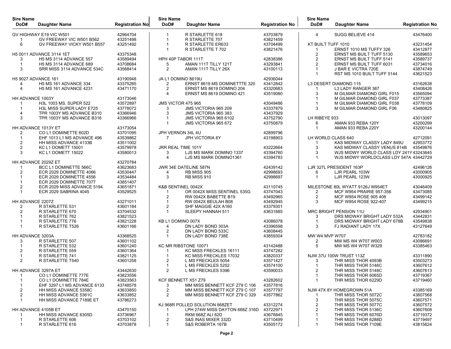| <b>Sire Name</b><br>DoD# | <b>Daughter Name</b>                | <b>Registration No</b> | <b>Sire Name</b><br>DoD#  | <b>Daughter Name</b>           | <b>Registration No</b> | <b>Sire Name</b><br>DoD# | Daughter Name                                      | <b>Registration No</b> |
|--------------------------|-------------------------------------|------------------------|---------------------------|--------------------------------|------------------------|--------------------------|----------------------------------------------------|------------------------|
|                          | GV HIGHWAY E19 VIC W501             | 42964704               | 1                         | R STARLETTE 618                | 43703879               | 4                        | SUGG BELIEVE 414                                   | 43476400               |
|                          | GV FREEWAY VIC W501 B562            | 43251498               | -1                        | R STARLETTE 707                | 43821459               |                          |                                                    |                        |
| 6                        | GV FREEWAY VICKY W501 B557          | 43251492               | 1                         | R STARLETTE ER633              | 43704499               | KT BUILT TUFF 1010       |                                                    | 43231454               |
|                          |                                     |                        | $\overline{1}$            | R STARLETTE T 702              | 43821476               | -1                       | ERNST 1010 MS TUFFY 326                            | 43412877               |
|                          | H5 0011 ADVANCE 3114 1ET            | 43375348               |                           |                                |                        | $\overline{2}$           | ERNST MS BUILT TUFF 5130                           | 43589653               |
| 3                        | <b>H5 MS 3114 ADVANCE 557</b>       | 43589494               | HPH 40P TABOR 111T        |                                | 42838386               | $\overline{2}$           | <b>ERNST MS BUILT TUFF 5141</b>                    | 43589737               |
| $\overline{1}$           | <b>H5 MS 3114 ADVANCE 689</b>       | 43708684               | 5                         | AMAN 111T TILLY 121T           | 43293841               | $\overline{2}$           | <b>ERNST MS BUILT TUFF 6031</b>                    | 43734016               |
| 3                        | SRR MISS 3114 ADVANCE 534C          | 43568414               | 2                         | AMAN 111T TILLY 26X            | 43100113               |                          | J BAR E VICTRA 720E                                | 43874749               |
| H5 9027 ADVANCE 161      |                                     |                        |                           |                                |                        | -1                       | RST MS 1010 BUILT TUFF 5144                        | 43621523               |
| 4                        | H5 MS 161 ADVANCE 334               | 43190948<br>43375285   | JA L1 DOMINO 8619U<br>2   | ERNST 8619 MS DOMINETTTE 320   | 42936044<br>43412842   |                          | <b>L3 DESERT DIAMOND 115</b>                       | 43162638               |
| 4                        | <b>H5 MS 161 ADVANCE 4231</b>       | 43471170               | $\overline{2}$            | ERNST MS 8619 DOMINO 204       | 43320683               | -1                       | L3 LADY RANGER 367                                 | 43408426               |
|                          |                                     |                        | 4                         | ERNST MS 8619 DOMINO 421       | 43519080               | 3                        | M GILMAR DIAMOND GIRL F015                         | 43565094               |
| HH ADVANCE 1003Y         |                                     | 43173046               |                           |                                |                        |                          | M GILMAR DIAMOND GIRL F037                         | 43773387               |
|                          | H3L 1003 MS. SUPER 522              | 43572897               | <b>JMS VICTOR 475 965</b> |                                | 43049486               |                          | M GILMAR DIAMOND GIRL F038                         | 43778109               |
|                          | H3L MISS SUPER LADY E725            | 43778072               | 3                         | JMS VICTORIA 965 209           | 43337879               | 3                        | M GILMAR DIAMOND GIRL F06                          | 43480825               |
| 4                        | TPR 1003Y MS ADVANCE B310           | 43366946               | 3                         | <b>JMS VICTORIA 965 383</b>    | 43437929               |                          |                                                    |                        |
| 3                        | TPR 1003Y MS ADVANCE B316           | 43366966               |                           | JMS VICTORIA 965 6102          | 43752790               | LH RIBEYE 933            |                                                    | 43013097               |
|                          |                                     |                        | -1                        | <b>JMS VICTORIA 965 672</b>    | 43750879               | 6                        | AMAN 933 REBA 120Y                                 | 43200299               |
|                          | HH ADVANCE 1013Y ET                 | 43173054               |                           |                                |                        | -1                       | AMAN 933 REBA 220Y                                 | 43200144               |
| 2                        | CO L1 DOMINETTE 602D                | 43701095               | JPH VERNON 34L 4U         |                                | 42899796               |                          |                                                    |                        |
| $\mathbf{1}$             | EHF 1013 L1 MS ADVANCE 496          | 43539862               | 7                         | <b>JPH VICTORIA 6Y</b>         | 43198903               | LH WORLD CLASS 640       |                                                    | 42712091               |
| $\overline{2}$           | HH MISS ADVANCE 4133B               | 43511002               |                           |                                |                        |                          | KAS MIDWAY CLASSY LADY 849U                        | 42953772               |
| $\overline{2}$           | KC L1 DOMETT 15001                  | 43579978               | JRR REAL TIME 101Y        |                                | 43222664               | 3                        | KAS MIDWAY CLASSY VENUS 814B                       | 43549876               |
| 3                        | <b>KC L1 DOMETT 15022</b>           | 43580013               | 3                         | LJS MS MARK DOMINO 1337        | 43394760               | 3                        | WJS MIDWY WORLD CLASS LDY 241Y43243645             |                        |
|                          |                                     |                        | 4                         | LJS MS MARK DOMINO1361         | 43394783               | -1                       | WJS MIDWY WORLDCLASS LDY 547A 43442729             |                        |
|                          | HH ADVANCE 2029Z ET                 | 43270784               |                           |                                |                        |                          |                                                    |                        |
|                          | BCC L1 DOMINETTE 566C               | 43623683               |                           | JWR 34E DATELINE 587N          | 42439142               |                          | LJR 327L PRESIDENT 163P                            | 42496126               |
| 2                        | ECR 2029 DOMINETTE 4066             | 43530447               | 4                         | <b>RB MISS 905</b>             | 42998693               | 6                        | LJR PEARL 103W                                     | 43000905               |
|                          | ECR 2029 DOMINETTE 4556             | 43534484               | 3                         | <b>RB MISS 910</b>             | 42998697               | -1                       | LJR PEARL 123W                                     | 43000925               |
|                          | ECR 2029 DOMINETTE 7077             | 43851407               |                           |                                |                        |                          |                                                    |                        |
| $\overline{2}$           | ECR 2029 MISS ADVANCE 5194          | 43651871               | K&B SENTINEL 0042X        |                                | 43110745               |                          | MILESTONE 80L WYATT 9126J W954ET                   | 43046409               |
|                          | ECR 2029 SABRINA 4045               | 43529525               | 1                         | OR 0042X MISS SENTINEL 535G    | 43747043               | 2                        | <b>MCF W954 PRAIRIE 957-356</b>                    | 43473085               |
|                          |                                     |                        | 2                         | RW 0042X BABETTE B19           | 43492965               | $\overline{2}$           | MCF W954 ROSE 905 408                              | 43499142               |
| HH ADVANCE 2207Z         |                                     | 43271011               | 1                         | RW 0042X BEULAH B08            | 43492945               | 3                        | MCF W954 ROSE 922-407                              | 43499215               |
| 2                        | R STARLETTE 531                     | 43601184               | $\overline{2}$            | SHF MAGGIE 42X A160            | 43379301               |                          |                                                    |                        |
| 2                        | R STARLETTE 670                     | 43704532               | $\mathbf{1}$              | SLEEPY HANNAH 511              | 43631885               |                          | <b>MRC BRIGHT PENSION 11U</b>                      | 42934901               |
|                          | R STARLETTE 762                     | 43821523<br>43821228   | KB L1 DOMINO 007X         |                                |                        | 3                        | DRS MIDWAY BRIGHT LADY 532A                        | 43442831               |
|                          | R STARLETTE 776<br>R STARLETTE T526 | 43601166               | 4                         | DN LADY BOND 303A              | 43086078<br>43396598   | 3                        | DRS MIDWAY BRIGHT LADY 678B<br>FJ RADIANT LADY 17X | 43549838<br>43127649   |
|                          |                                     |                        | 2                         | DN LADY BOND 533C              | 43608445               |                          |                                                    |                        |
| HH ADVANCE 3203A         |                                     | 43368525               | -1                        | DN LADY BOND 738E              | 43859304               | <b>MW W4 MVP W707</b>    |                                                    | 42783182               |
| 3                        | R STARLETTE 507                     | 43601102               |                           |                                |                        | $\overline{2}$           | MW MS W4 W707 W003                                 | 43086691               |
|                          | R STARLETTE 532                     | 43601240               |                           | KC MR RIBSTONE 10071           | 43142488               | 5                        | MW MS W4 W707 W329                                 | 43385463               |
| 2                        | R STARLETTE 559                     | 43601364               | 1                         | KC MISS FRECKLES 16111         | 43747282               |                          |                                                    |                        |
|                          | R STARLETTE 741                     | 43821125               |                           | KC MISS FRECKLES 17032         | 43820337               |                          | <b>NJW 37U 100W TRUST 113Z</b>                     | 43311890               |
| 2                        | R STARLETTE T540                    | 43601258               |                           | L MS FRECKLES 5054             | 43571427               | 3                        | THR MISS THOR 4093B                                | 43503273               |
|                          |                                     |                        | -1                        | L MS FRECKLES 5252             | 43574100               | -1                       | THR MISS THOR 5146C                                | 43607612               |
|                          | HH ADVANCE 3297A ET                 | 43442630               | 2                         | L MS FRECKLES 5396             | 43590033               |                          | THR MISS THOR 5148C                                | 43607613               |
| 1                        | CO L1 DOMINETTE 777E                | 43823556               |                           |                                |                        | $\mathbf{1}$             | THR MISS THOR 6065D                                | 43719367               |
|                          | CO L1 DOMINETTE 784E                | 43823563               |                           | KCF BENNETT X51 Z79            | 43282602               | -1                       | THR MISS THOR 6229D                                | 43719460               |
|                          | EHF 3297 L1 MS ADVANCE 6133         | 43748578               | 3                         | MM MISS BENNETT KCF Z79 C 106  | 43577816               |                          |                                                    |                        |
| 2                        | <b>HH MISS ADVANCE 5358C</b>        | 43633850               | 2                         | MM MISS BENNETT KCF Z79 C 107  | 43577797               |                          | NJW 47X 8Y HOMEGROWN 51A                           | 43385169               |
| $\overline{2}$           | <b>HH MISS ADVANCE 5361C</b>        | 43633852               | 2                         | MM MISS BENNETT KCF Z79 C 329  | 43577862               | -1                       | THR MISS THOR 5072C                                | 43607568               |
| 1                        | HH MISS ADVANCE 7189E ET            | 43786273               |                           |                                |                        | 3                        | THR MISS THOR 5075C                                | 43607571               |
|                          |                                     |                        |                           | KJ 968R POLLED SOLUTION 668ZET | 43312274               | 2                        | THR MISS THOR 5077C                                | 43607572               |
|                          | HH ADVANCE 4105B ET                 | 43470150               | -1                        | LPH 274W MISS DAYTON 668Z 316D | 43722971               | $\overline{2}$           | THR MISS THOR 5136C                                | 43607608               |
|                          | HH MISS ADVANCE 6305D               | 43736967               | 1                         | <b>RKM 668Z ALI 62D</b>        | 43678845               |                          | THR MISS THOR 6076D                                | 43719372               |
|                          | R STARLETTE 606                     | 43703102               | 2                         | S&S INAS MIXER 332D            | 43710499               |                          | THR MISS THOR 6288D                                | 43719497               |
| 1                        | R STARLETTE 616                     | 43703878               | 1                         | S&S ROBERTA 167B               | 43505172               |                          | THR MISS THOR 7109E                                | 43815624               |